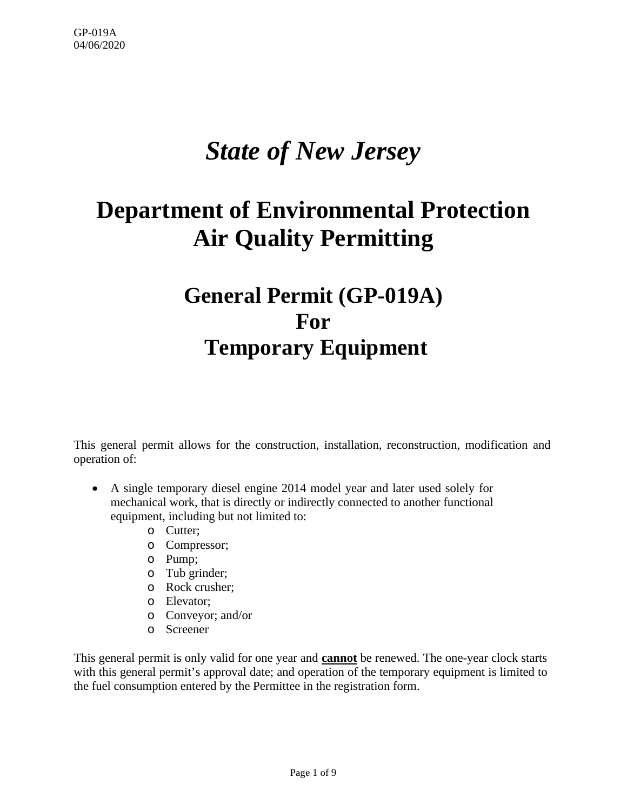# *State of New Jersey*

## **Department of Environmental Protection Air Quality Permitting**

## **General Permit (GP-019A) For Temporary Equipment**

This general permit allows for the construction, installation, reconstruction, modification and operation of:

- A single temporary diesel engine 2014 model year and later used solely for mechanical work, that is directly or indirectly connected to another functional equipment, including but not limited to:
	- o Cutter;
	- o Compressor;
	- o Pump;
	- o Tub grinder;
	- o Rock crusher;
	- o Elevator;
	- o Conveyor; and/or
	- o Screener

This general permit is only valid for one year and **cannot** be renewed. The one-year clock starts with this general permit's approval date; and operation of the temporary equipment is limited to the fuel consumption entered by the Permittee in the registration form.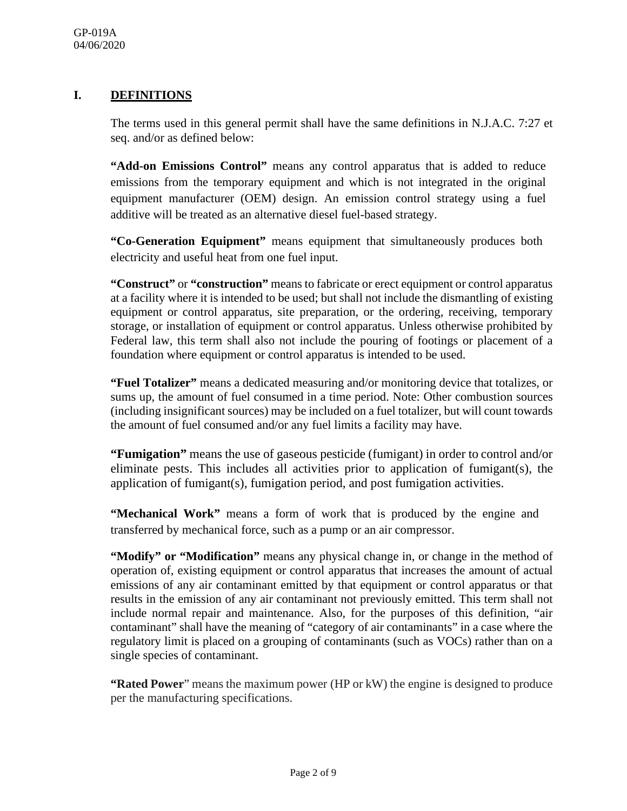### **I. DEFINITIONS**

The terms used in this general permit shall have the same definitions in N.J.A.C. 7:27 et seq. and/or as defined below:

**"Add-on Emissions Control"** means any control apparatus that is added to reduce emissions from the temporary equipment and which is not integrated in the original equipment manufacturer (OEM) design. An emission control strategy using a fuel additive will be treated as an alternative diesel fuel-based strategy.

**"Co-Generation Equipment"** means equipment that simultaneously produces both electricity and useful heat from one fuel input.

**"Construct"** or **"construction"** means to fabricate or erect equipment or control apparatus at a facility where it is intended to be used; but shall not include the dismantling of existing equipment or control apparatus, site preparation, or the ordering, receiving, temporary storage, or installation of equipment or control apparatus. Unless otherwise prohibited by Federal law, this term shall also not include the pouring of footings or placement of a foundation where equipment or control apparatus is intended to be used.

**"Fuel Totalizer"** means a dedicated measuring and/or monitoring device that totalizes, or sums up, the amount of fuel consumed in a time period. Note: Other combustion sources (including insignificant sources) may be included on a fuel totalizer, but will count towards the amount of fuel consumed and/or any fuel limits a facility may have.

**"Fumigation"** means the use of gaseous pesticide (fumigant) in order to control and/or eliminate pests. This includes all activities prior to application of fumigant(s), the application of fumigant(s), fumigation period, and post fumigation activities.

**"Mechanical Work"** means a form of work that is produced by the engine and transferred by mechanical force, such as a pump or an air compressor.

**"Modify" or "Modification"** means any physical change in, or change in the method of operation of, existing equipment or control apparatus that increases the amount of actual emissions of any air contaminant emitted by that equipment or control apparatus or that results in the emission of any air contaminant not previously emitted. This term shall not include normal repair and maintenance. Also, for the purposes of this definition, "air contaminant" shall have the meaning of "category of air contaminants" in a case where the regulatory limit is placed on a grouping of contaminants (such as VOCs) rather than on a single species of contaminant.

**"Rated Power**" means the maximum power (HP or kW) the engine is designed to produce per the manufacturing specifications.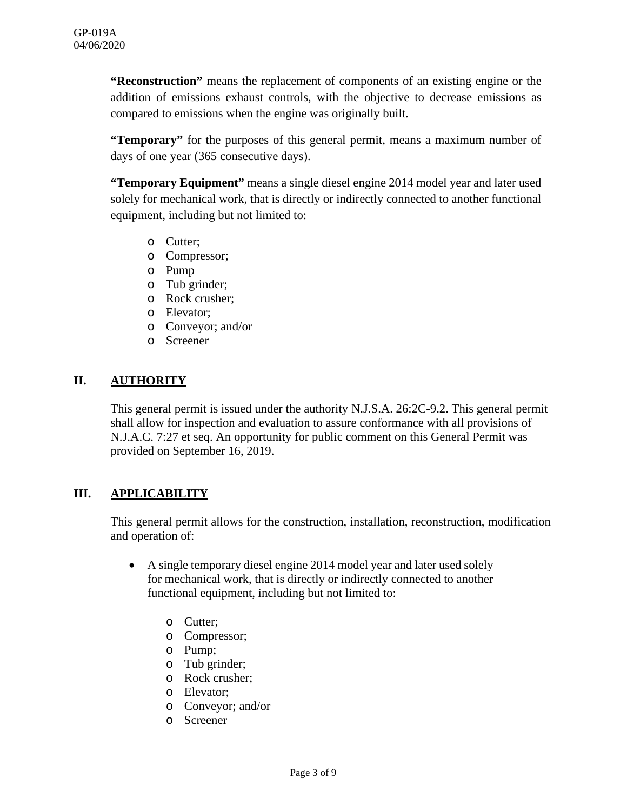**"Reconstruction"** means the replacement of components of an existing engine or the addition of emissions exhaust controls, with the objective to decrease emissions as compared to emissions when the engine was originally built.

**"Temporary"** for the purposes of this general permit, means a maximum number of days of one year (365 consecutive days).

**"Temporary Equipment"** means a single diesel engine 2014 model year and later used solely for mechanical work, that is directly or indirectly connected to another functional equipment, including but not limited to:

- o Cutter;
- o Compressor;
- o Pump
- o Tub grinder;
- o Rock crusher;
- o Elevator;
- o Conveyor; and/or
- o Screener

#### **II. AUTHORITY**

This general permit is issued under the authority N.J.S.A. 26:2C-9.2. This general permit shall allow for inspection and evaluation to assure conformance with all provisions of N.J.A.C. 7:27 et seq. An opportunity for public comment on this General Permit was provided on September 16, 2019.

#### **III. APPLICABILITY**

This general permit allows for the construction, installation, reconstruction, modification and operation of:

- A single temporary diesel engine 2014 model year and later used solely for mechanical work, that is directly or indirectly connected to another functional equipment, including but not limited to:
	- o Cutter;
	- o Compressor;
	- o Pump;
	- o Tub grinder;
	- o Rock crusher;
	- o Elevator;
	- o Conveyor; and/or
	- o Screener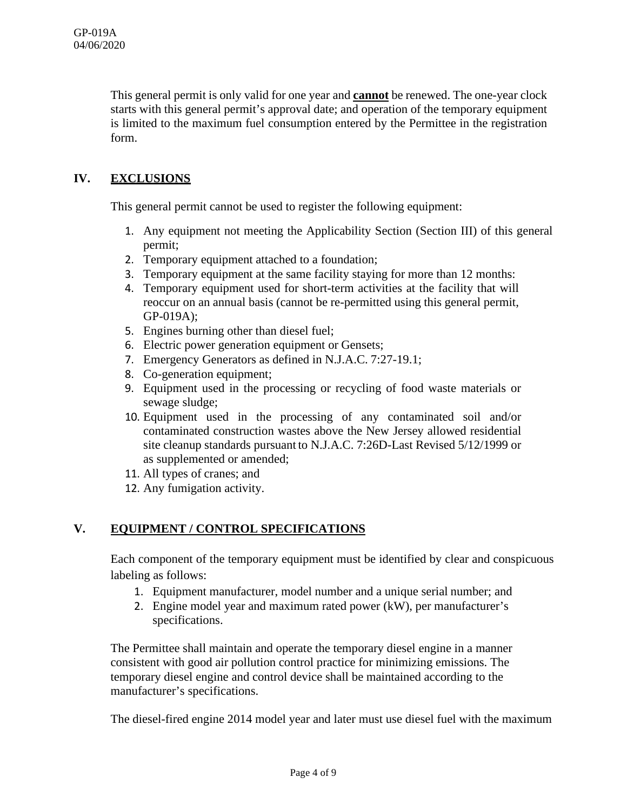This general permit is only valid for one year and **cannot** be renewed. The one-year clock starts with this general permit's approval date; and operation of the temporary equipment is limited to the maximum fuel consumption entered by the Permittee in the registration form.

## **IV. EXCLUSIONS**

This general permit cannot be used to register the following equipment:

- 1. Any equipment not meeting the Applicability Section (Section III) of this general permit;
- 2. Temporary equipment attached to a foundation;
- 3. Temporary equipment at the same facility staying for more than 12 months:
- 4. Temporary equipment used for short-term activities at the facility that will reoccur on an annual basis (cannot be re-permitted using this general permit, GP-019A);
- 5. Engines burning other than diesel fuel;
- 6. Electric power generation equipment or Gensets;
- 7. Emergency Generators as defined in N.J.A.C. 7:27-19.1;
- 8. Co-generation equipment;
- 9. Equipment used in the processing or recycling of food waste materials or sewage sludge;
- 10. Equipment used in the processing of any contaminated soil and/or contaminated construction wastes above the New Jersey allowed residential site cleanup standards pursuant to N.J.A.C. 7:26D-Last Revised 5/12/1999 or as supplemented or amended;
- 11. All types of cranes; and
- 12. Any fumigation activity.

#### **V. EQUIPMENT / CONTROL SPECIFICATIONS**

Each component of the temporary equipment must be identified by clear and conspicuous labeling as follows:

- 1. Equipment manufacturer, model number and a unique serial number; and
- 2. Engine model year and maximum rated power (kW), per manufacturer's specifications.

The Permittee shall maintain and operate the temporary diesel engine in a manner consistent with good air pollution control practice for minimizing emissions. The temporary diesel engine and control device shall be maintained according to the manufacturer's specifications.

The diesel-fired engine 2014 model year and later must use diesel fuel with the maximum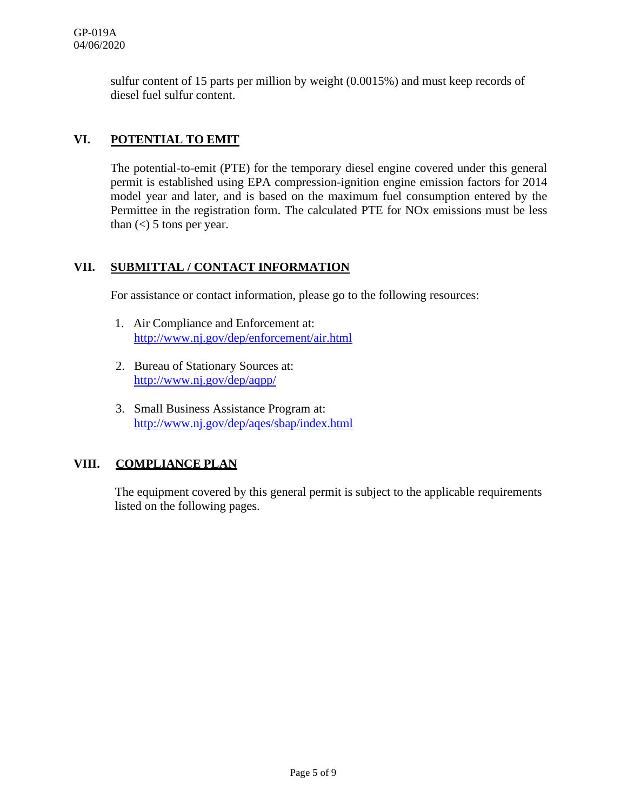sulfur content of 15 parts per million by weight (0.0015%) and must keep records of diesel fuel sulfur content.

## **VI. POTENTIAL TO EMIT**

The potential-to-emit (PTE) for the temporary diesel engine covered under this general permit is established using EPA compression-ignition engine emission factors for 2014 model year and later, and is based on the maximum fuel consumption entered by the Permittee in the registration form. The calculated PTE for NOx emissions must be less than  $\left($  <  $\right)$  5 tons per year.

### **VII. SUBMITTAL / CONTACT INFORMATION**

For assistance or contact information, please go to the following resources:

- 1. Air Compliance and Enforcement at: <http://www.nj.gov/dep/enforcement/air.html>
- 2. Bureau of Stationary Sources at: <http://www.nj.gov/dep/aqpp/>
- 3. Small Business Assistance Program at: <http://www.nj.gov/dep/aqes/sbap/index.html>

## **VIII. COMPLIANCE PLAN**

The equipment covered by this general permit is subject to the applicable requirements listed on the following pages.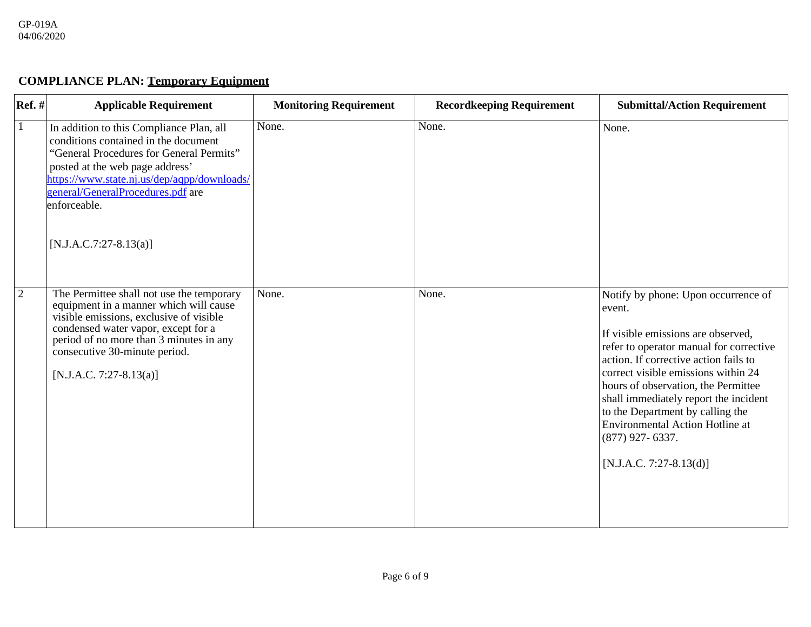## **COMPLIANCE PLAN: Temporary Equipment**

| <b>Ref.</b> #  | <b>Applicable Requirement</b>                                                                                                                                                                                                                                                                   | <b>Monitoring Requirement</b> | <b>Recordkeeping Requirement</b> | <b>Submittal/Action Requirement</b>                                                                                                                                                                                                                                                                                                                                                                                          |
|----------------|-------------------------------------------------------------------------------------------------------------------------------------------------------------------------------------------------------------------------------------------------------------------------------------------------|-------------------------------|----------------------------------|------------------------------------------------------------------------------------------------------------------------------------------------------------------------------------------------------------------------------------------------------------------------------------------------------------------------------------------------------------------------------------------------------------------------------|
| $\mathbf{1}$   | In addition to this Compliance Plan, all<br>conditions contained in the document<br>"General Procedures for General Permits"<br>posted at the web page address'<br>https://www.state.nj.us/dep/aqpp/downloads/<br>general/GeneralProcedures.pdf are<br>enforceable.<br>$[N.J.A.C.7:27-8.13(a)]$ | None.                         | None.                            | None.                                                                                                                                                                                                                                                                                                                                                                                                                        |
| $\overline{2}$ | The Permittee shall not use the temporary<br>equipment in a manner which will cause<br>visible emissions, exclusive of visible<br>condensed water vapor, except for a<br>period of no more than 3 minutes in any<br>consecutive 30-minute period.<br>[N.J.A.C. 7:27-8.13(a)]                    | None.                         | None.                            | Notify by phone: Upon occurrence of<br>event.<br>If visible emissions are observed,<br>refer to operator manual for corrective<br>action. If corrective action fails to<br>correct visible emissions within 24<br>hours of observation, the Permittee<br>shall immediately report the incident<br>to the Department by calling the<br><b>Environmental Action Hotline at</b><br>$(877)$ 927-6337.<br>[N.J.A.C. 7:27-8.13(d)] |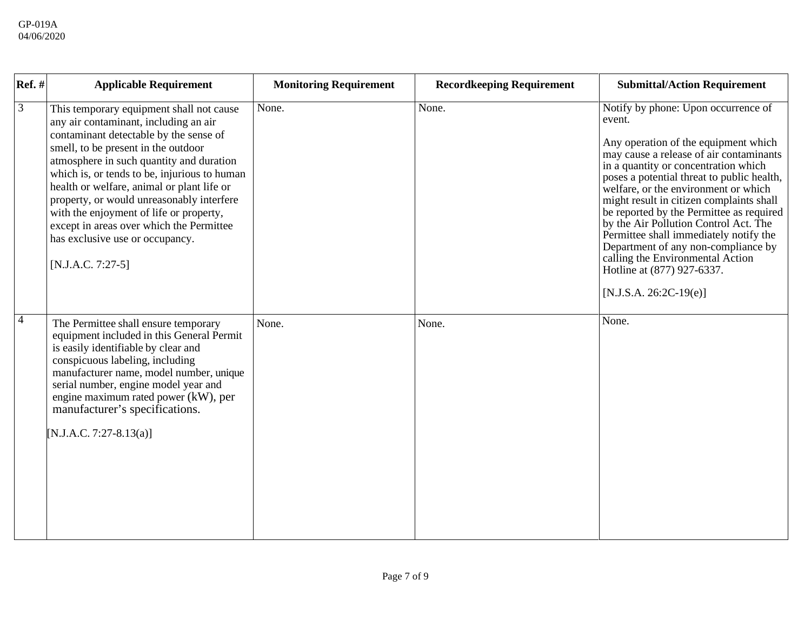| $Ref.$ #       | <b>Applicable Requirement</b>                                                                                                                                                                                                                                                                                                                                                                                                                                                                              | <b>Monitoring Requirement</b> | <b>Recordkeeping Requirement</b> | <b>Submittal/Action Requirement</b>                                                                                                                                                                                                                                                                                                                                                                                                                                                                                                                                            |
|----------------|------------------------------------------------------------------------------------------------------------------------------------------------------------------------------------------------------------------------------------------------------------------------------------------------------------------------------------------------------------------------------------------------------------------------------------------------------------------------------------------------------------|-------------------------------|----------------------------------|--------------------------------------------------------------------------------------------------------------------------------------------------------------------------------------------------------------------------------------------------------------------------------------------------------------------------------------------------------------------------------------------------------------------------------------------------------------------------------------------------------------------------------------------------------------------------------|
| $\overline{3}$ | This temporary equipment shall not cause<br>any air contaminant, including an air<br>contaminant detectable by the sense of<br>smell, to be present in the outdoor<br>atmosphere in such quantity and duration<br>which is, or tends to be, injurious to human<br>health or welfare, animal or plant life or<br>property, or would unreasonably interfere<br>with the enjoyment of life or property,<br>except in areas over which the Permittee<br>has exclusive use or occupancy.<br>$[N.J.A.C. 7:27-5]$ | None.                         | None.                            | Notify by phone: Upon occurrence of<br>event.<br>Any operation of the equipment which<br>may cause a release of air contaminants<br>in a quantity or concentration which<br>poses a potential threat to public health,<br>welfare, or the environment or which<br>might result in citizen complaints shall<br>be reported by the Permittee as required<br>by the Air Pollution Control Act. The<br>Permittee shall immediately notify the<br>Department of any non-compliance by<br>calling the Environmental Action<br>Hotline at (877) 927-6337.<br>$[N.J.S.A. 26:2C-19(e)]$ |
| $\overline{4}$ | The Permittee shall ensure temporary<br>equipment included in this General Permit<br>is easily identifiable by clear and<br>conspicuous labeling, including<br>manufacturer name, model number, unique<br>serial number, engine model year and<br>engine maximum rated power (kW), per<br>manufacturer's specifications.<br>[N.J.A.C. 7:27-8.13(a)]                                                                                                                                                        | None.                         | None.                            | None.                                                                                                                                                                                                                                                                                                                                                                                                                                                                                                                                                                          |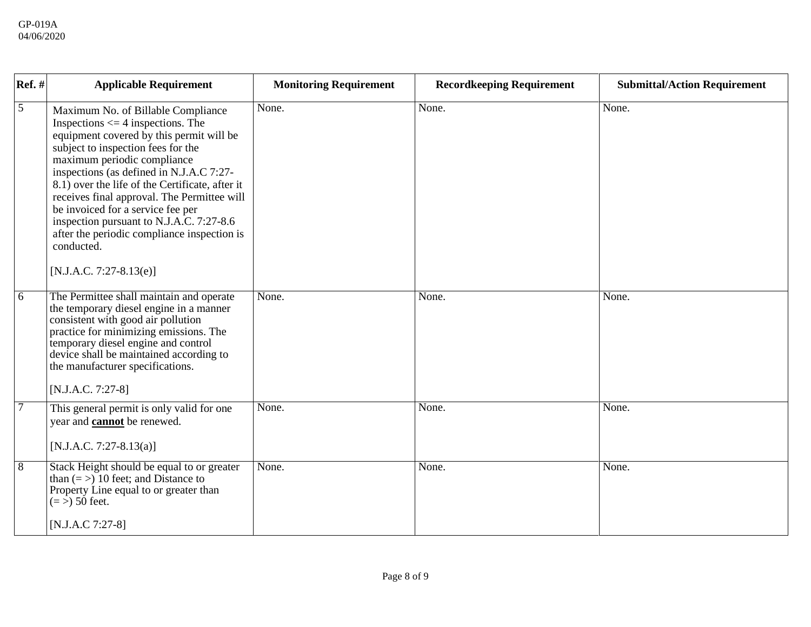| $Ref.$ #       | <b>Applicable Requirement</b>                                                                                                                                                                                                                                                                                                                                                                                                                                                                                         | <b>Monitoring Requirement</b> | <b>Recordkeeping Requirement</b> | <b>Submittal/Action Requirement</b> |
|----------------|-----------------------------------------------------------------------------------------------------------------------------------------------------------------------------------------------------------------------------------------------------------------------------------------------------------------------------------------------------------------------------------------------------------------------------------------------------------------------------------------------------------------------|-------------------------------|----------------------------------|-------------------------------------|
| 5              | Maximum No. of Billable Compliance<br>Inspections $\leq$ 4 inspections. The<br>equipment covered by this permit will be<br>subject to inspection fees for the<br>maximum periodic compliance<br>inspections (as defined in N.J.A.C 7:27-<br>8.1) over the life of the Certificate, after it<br>receives final approval. The Permittee will<br>be invoiced for a service fee per<br>inspection pursuant to N.J.A.C. 7:27-8.6<br>after the periodic compliance inspection is<br>conducted.<br>$[N.J.A.C. 7:27-8.13(e)]$ | None.                         | None.                            | None.                               |
| 6              | The Permittee shall maintain and operate<br>the temporary diesel engine in a manner<br>consistent with good air pollution<br>practice for minimizing emissions. The<br>temporary diesel engine and control<br>device shall be maintained according to<br>the manufacturer specifications.<br>$[N.J.A.C. 7:27-8]$                                                                                                                                                                                                      | None.                         | None.                            | None.                               |
| $\overline{7}$ | This general permit is only valid for one<br>year and <b>cannot</b> be renewed.<br>[N.J.A.C. 7:27-8.13(a)]                                                                                                                                                                                                                                                                                                                                                                                                            | None.                         | None.                            | None.                               |
| $\overline{8}$ | Stack Height should be equal to or greater<br>than $(=$ > 10 feet; and Distance to<br>Property Line equal to or greater than<br>$(=$ > 50 feet.                                                                                                                                                                                                                                                                                                                                                                       | None.                         | None.                            | None.                               |
|                | $[N.J.A.C 7:27-8]$                                                                                                                                                                                                                                                                                                                                                                                                                                                                                                    |                               |                                  |                                     |